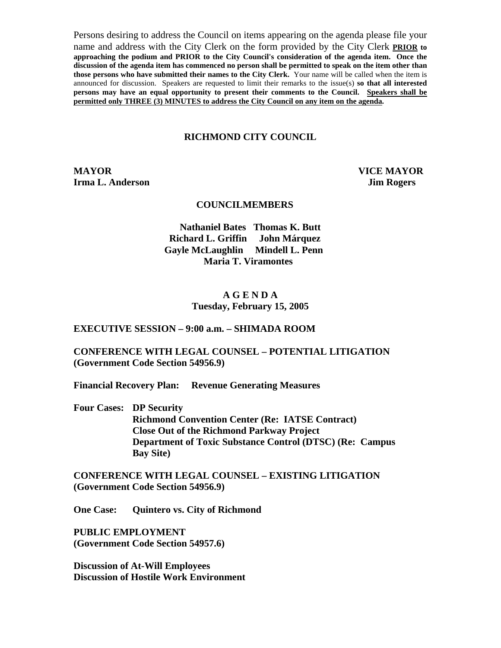Persons desiring to address the Council on items appearing on the agenda please file your name and address with the City Clerk on the form provided by the City Clerk **PRIOR to approaching the podium and PRIOR to the City Council's consideration of the agenda item. Once the discussion of the agenda item has commenced no person shall be permitted to speak on the item other than those persons who have submitted their names to the City Clerk.** Your name will be called when the item is announced for discussion. Speakers are requested to limit their remarks to the issue(s) **so that all interested persons may have an equal opportunity to present their comments to the Council. Speakers shall be permitted only THREE (3) MINUTES to address the City Council on any item on the agenda.**

#### **RICHMOND CITY COUNCIL**

**MAYOR VICE MAYOR Irma L. Anderson Jim Rogers** 

#### **COUNCILMEMBERS**

**Nathaniel Bates Thomas K. Butt Richard L. Griffin John Márquez Gayle McLaughlin Mindell L. Penn Maria T. Viramontes** 

#### **A G E N D A Tuesday, February 15, 2005**

#### **EXECUTIVE SESSION – 9:00 a.m. – SHIMADA ROOM**

### **CONFERENCE WITH LEGAL COUNSEL – POTENTIAL LITIGATION (Government Code Section 54956.9)**

**Financial Recovery Plan: Revenue Generating Measures** 

**Four Cases: DP Security Richmond Convention Center (Re: IATSE Contract) Close Out of the Richmond Parkway Project Department of Toxic Substance Control (DTSC) (Re: Campus Bay Site)** 

**CONFERENCE WITH LEGAL COUNSEL – EXISTING LITIGATION (Government Code Section 54956.9)** 

**One Case: Quintero vs. City of Richmond** 

**PUBLIC EMPLOYMENT (Government Code Section 54957.6)** 

**Discussion of At-Will Employees Discussion of Hostile Work Environment**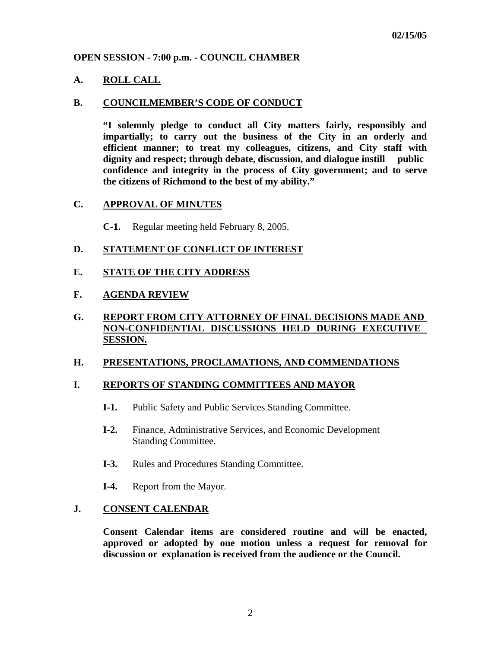### **OPEN SESSION - 7:00 p.m. - COUNCIL CHAMBER**

### **A. ROLL CALL**

#### **B. COUNCILMEMBER'S CODE OF CONDUCT**

 **"I solemnly pledge to conduct all City matters fairly, responsibly and impartially; to carry out the business of the City in an orderly and efficient manner; to treat my colleagues, citizens, and City staff with dignity and respect; through debate, discussion, and dialogue instill public confidence and integrity in the process of City government; and to serve the citizens of Richmond to the best of my ability."** 

#### **C. APPROVAL OF MINUTES**

**C-1.** Regular meeting held February 8, 2005.

### **D. STATEMENT OF CONFLICT OF INTEREST**

### **E. STATE OF THE CITY ADDRESS**

### **F. AGENDA REVIEW**

## **G. REPORT FROM CITY ATTORNEY OF FINAL DECISIONS MADE AND NON-CONFIDENTIAL DISCUSSIONS HELD DURING EXECUTIVE SESSION.**

#### **H. PRESENTATIONS, PROCLAMATIONS, AND COMMENDATIONS**

### **I. REPORTS OF STANDING COMMITTEES AND MAYOR**

- **I-1.** Public Safety and Public Services Standing Committee.
- **I-2.** Finance, Administrative Services, and Economic Development Standing Committee.
- **I-3.** Rules and Procedures Standing Committee.
- **I-4.** Report from the Mayor.

#### **J. CONSENT CALENDAR**

 **Consent Calendar items are considered routine and will be enacted, approved or adopted by one motion unless a request for removal for discussion or explanation is received from the audience or the Council.**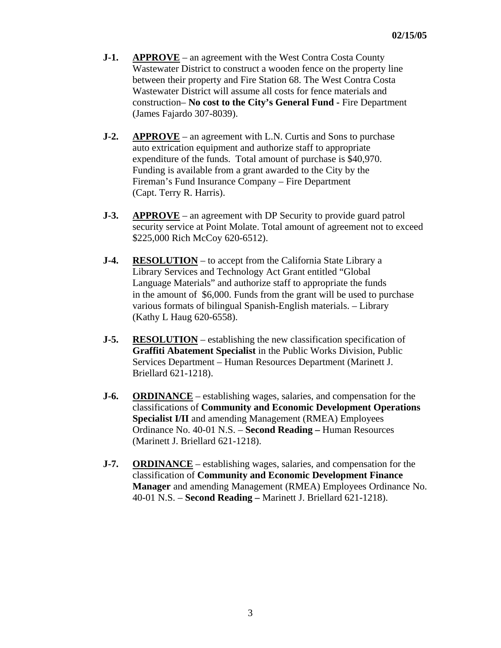- **J-1.** APPROVE an agreement with the West Contra Costa County Wastewater District to construct a wooden fence on the property line between their property and Fire Station 68. The West Contra Costa Wastewater District will assume all costs for fence materials and construction– **No cost to the City's General Fund -** Fire Department (James Fajardo 307-8039).
- **J-2. APPROVE** an agreement with L.N. Curtis and Sons to purchase auto extrication equipment and authorize staff to appropriate expenditure of the funds. Total amount of purchase is \$40,970. Funding is available from a grant awarded to the City by the Fireman's Fund Insurance Company – Fire Department (Capt. Terry R. Harris).
- **J-3. APPROVE** an agreement with DP Security to provide guard patrol security service at Point Molate. Total amount of agreement not to exceed \$225,000 Rich McCoy 620-6512).
- **J-4. RESOLUTION** to accept from the California State Library a Library Services and Technology Act Grant entitled "Global Language Materials" and authorize staff to appropriate the funds in the amount of \$6,000. Funds from the grant will be used to purchase various formats of bilingual Spanish-English materials. – Library (Kathy L Haug 620-6558).
- **J-5. RESOLUTION** establishing the new classification specification of **Graffiti Abatement Specialist** in the Public Works Division, Public Services Department – Human Resources Department (Marinett J. Briellard 621-1218).
- **J-6.** ORDINANCE establishing wages, salaries, and compensation for the classifications of **Community and Economic Development Operations Specialist I/II** and amending Management (RMEA) Employees Ordinance No. 40-01 N.S. – **Second Reading –** Human Resources (Marinett J. Briellard 621-1218).
- **J-7. ORDINANCE** establishing wages, salaries, and compensation for the classification of **Community and Economic Development Finance Manager** and amending Management (RMEA) Employees Ordinance No. 40-01 N.S. – **Second Reading –** Marinett J. Briellard 621-1218).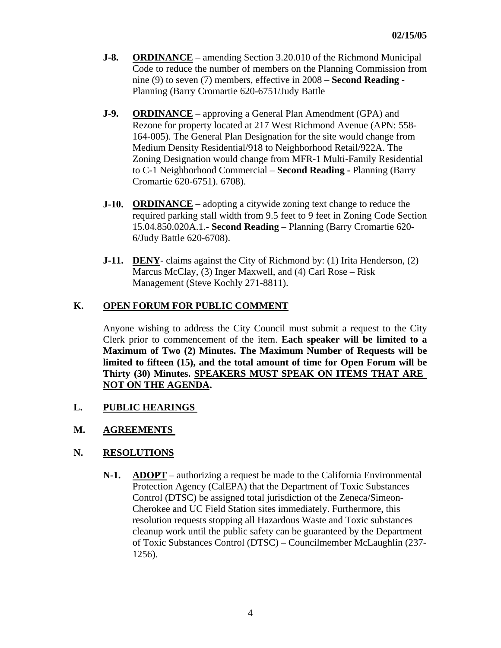- **J-8.** ORDINANCE amending Section 3.20.010 of the Richmond Municipal Code to reduce the number of members on the Planning Commission from nine (9) to seven (7) members, effective in 2008 – **Second Reading -** Planning (Barry Cromartie 620-6751/Judy Battle
- **J-9.** ORDINANCE approving a General Plan Amendment (GPA) and Rezone for property located at 217 West Richmond Avenue (APN: 558- 164-005). The General Plan Designation for the site would change from Medium Density Residential/918 to Neighborhood Retail/922A. The Zoning Designation would change from MFR-1 Multi-Family Residential to C-1 Neighborhood Commercial – **Second Reading -** Planning (Barry Cromartie 620-6751). 6708).
- **J-10. ORDINANCE** adopting a citywide zoning text change to reduce the required parking stall width from 9.5 feet to 9 feet in Zoning Code Section 15.04.850.020A.1.- **Second Reading** – Planning (Barry Cromartie 620- 6/Judy Battle 620-6708).
- **J-11. DENY** claims against the City of Richmond by: (1) Irita Henderson, (2) Marcus McClay, (3) Inger Maxwell, and (4) Carl Rose – Risk Management (Steve Kochly 271-8811).

# **K. OPEN FORUM FOR PUBLIC COMMENT**

Anyone wishing to address the City Council must submit a request to the City Clerk prior to commencement of the item. **Each speaker will be limited to a Maximum of Two (2) Minutes. The Maximum Number of Requests will be limited to fifteen (15), and the total amount of time for Open Forum will be Thirty (30) Minutes. SPEAKERS MUST SPEAK ON ITEMS THAT ARE NOT ON THE AGENDA.** 

**L. PUBLIC HEARINGS** 

## **M. AGREEMENTS**

## **N. RESOLUTIONS**

 **N-1. ADOPT** – authorizing a request be made to the California Environmental Protection Agency (CalEPA) that the Department of Toxic Substances Control (DTSC) be assigned total jurisdiction of the Zeneca/Simeon- Cherokee and UC Field Station sites immediately. Furthermore, this resolution requests stopping all Hazardous Waste and Toxic substances cleanup work until the public safety can be guaranteed by the Department of Toxic Substances Control (DTSC) – Councilmember McLaughlin (237- 1256).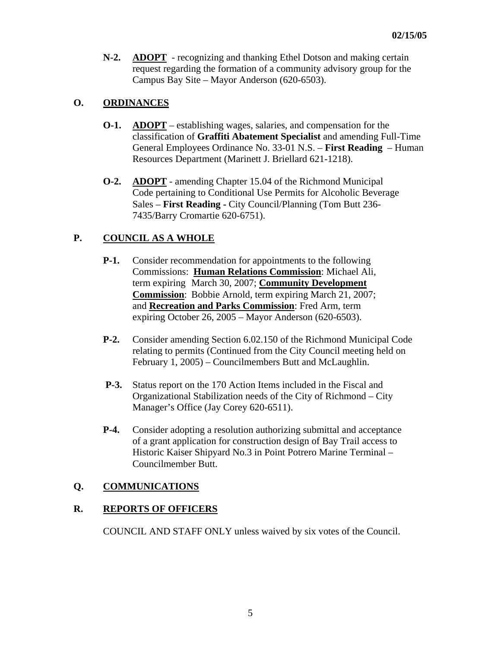**N-2. ADOPT** - recognizing and thanking Ethel Dotson and making certain request regarding the formation of a community advisory group for the Campus Bay Site – Mayor Anderson (620-6503).

## **O. ORDINANCES**

- **O-1. ADOPT** establishing wages, salaries, and compensation for the classification of **Graffiti Abatement Specialist** and amending Full-Time General Employees Ordinance No. 33-01 N.S. – **First Reading** – Human Resources Department (Marinett J. Briellard 621-1218).
- **O-2. ADOPT** amending Chapter 15.04 of the Richmond Municipal Code pertaining to Conditional Use Permits for Alcoholic Beverage Sales – **First Reading -** City Council/Planning (Tom Butt 236- 7435/Barry Cromartie 620-6751).

## **P. COUNCIL AS A WHOLE**

- **P-1.** Consider recommendation for appointments to the following Commissions: **Human Relations Commission**: Michael Ali, term expiring March 30, 2007; **Community Development Commission**: Bobbie Arnold, term expiring March 21, 2007; and **Recreation and Parks Commission**: Fred Arm, term expiring October 26, 2005 – Mayor Anderson (620-6503).
- **P-2.** Consider amending Section 6.02.150 of the Richmond Municipal Code relating to permits (Continued from the City Council meeting held on February 1, 2005) – Councilmembers Butt and McLaughlin.
- **P-3.** Status report on the 170 Action Items included in the Fiscal and Organizational Stabilization needs of the City of Richmond – City Manager's Office (Jay Corey 620-6511).
- **P-4.** Consider adopting a resolution authorizing submittal and acceptance of a grant application for construction design of Bay Trail access to Historic Kaiser Shipyard No.3 in Point Potrero Marine Terminal – Councilmember Butt.

## **Q. COMMUNICATIONS**

## **R. REPORTS OF OFFICERS**

COUNCIL AND STAFF ONLY unless waived by six votes of the Council.